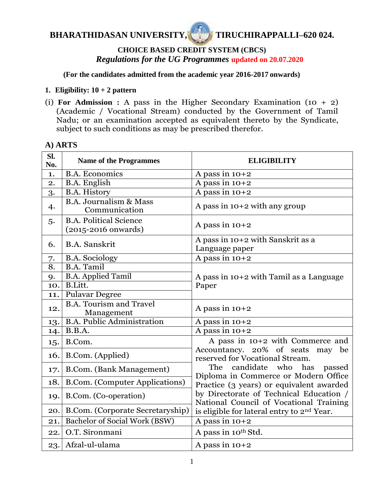

# **CHOICE BASED CREDIT SYSTEM (CBCS)** *Regulations for the UG Programmes* **updated on 20.07.2020**

**(For the candidates admitted from the academic year 2016-2017 onwards)**

## **1. Eligibility:**  $10 + 2$  **pattern**

(i) **For Admission :** A pass in the Higher Secondary Examination (10 + 2) (Academic / Vocational Stream) conducted by the Government of Tamil Nadu; or an examination accepted as equivalent thereto by the Syndicate, subject to such conditions as may be prescribed therefor.

## **A) ARTS**

| Sl.<br>No.       | <b>Name of the Programmes</b>                             | <b>ELIGIBILITY</b>                                                                                                                           |  |
|------------------|-----------------------------------------------------------|----------------------------------------------------------------------------------------------------------------------------------------------|--|
| 1.               | <b>B.A.</b> Economics                                     | A pass in $10+2$                                                                                                                             |  |
| 2.               | <b>B.A.</b> English                                       | A pass in $10+2$                                                                                                                             |  |
| 3.               | <b>B.A. History</b>                                       | A pass in $10+2$                                                                                                                             |  |
| 4.               | <b>B.A. Journalism &amp; Mass</b><br>Communication        | A pass in $10+2$ with any group                                                                                                              |  |
| 5.               | <b>B.A. Political Science</b><br>$(2015 - 2016)$ onwards) | A pass in $10+2$                                                                                                                             |  |
| 6.               | <b>B.A.</b> Sanskrit                                      | A pass in 10+2 with Sanskrit as a<br>Language paper                                                                                          |  |
| 7.               | <b>B.A. Sociology</b>                                     | A pass in $10+2$                                                                                                                             |  |
| $\overline{8}$ . | <b>B.A. Tamil</b>                                         |                                                                                                                                              |  |
| 9.               | <b>B.A. Applied Tamil</b>                                 | A pass in $10+2$ with Tamil as a Language                                                                                                    |  |
| 10.              | B.Litt.                                                   | Paper                                                                                                                                        |  |
| 11.              | <b>Pulavar Degree</b>                                     |                                                                                                                                              |  |
| 12.              | <b>B.A. Tourism and Travel</b><br>Management              | A pass in $10+2$                                                                                                                             |  |
| 13.              | <b>B.A. Public Administration</b>                         | A pass in $10+2$                                                                                                                             |  |
| 14.              | B.B.A.                                                    | A pass in $10+2$                                                                                                                             |  |
| 15.              | B.Com.                                                    | A pass in 10+2 with Commerce and<br>Accountancy. 20% of seats<br>may be                                                                      |  |
| 16.              | B.Com. (Applied)                                          | reserved for Vocational Stream.                                                                                                              |  |
| 17.              | B.Com. (Bank Management)                                  | candidate who has<br>The<br>passed<br>Diploma in Commerce or Modern Office                                                                   |  |
| 18.              | B.Com. (Computer Applications)                            | Practice (3 years) or equivalent awarded                                                                                                     |  |
| 19.              | B.Com. (Co-operation)                                     | by Directorate of Technical Education /<br>National Council of Vocational Training<br>is eligible for lateral entry to 2 <sup>nd</sup> Year. |  |
| 20.              | B.Com. (Corporate Secretaryship)                          |                                                                                                                                              |  |
| 21.              | <b>Bachelor of Social Work (BSW)</b>                      | A pass in $10+2$                                                                                                                             |  |
| 22.              | O.T. Sironmani                                            | A pass in 10th Std.                                                                                                                          |  |
| 23.              | Afzal-ul-ulama                                            | A pass in $10+2$                                                                                                                             |  |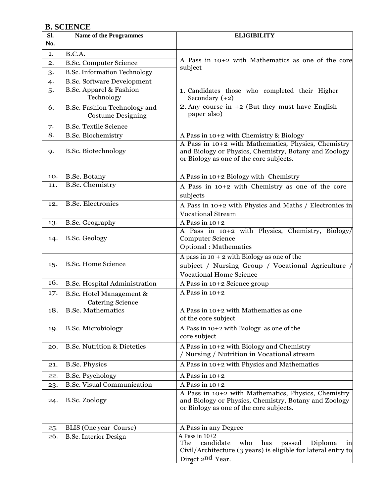# **B. SCIENCE**

| SI. | <b>Name of the Programmes</b>                            | <b>ELIGIBILITY</b>                                                                                                                                      |
|-----|----------------------------------------------------------|---------------------------------------------------------------------------------------------------------------------------------------------------------|
| No. |                                                          |                                                                                                                                                         |
| 1.  | B.C.A.                                                   |                                                                                                                                                         |
| 2.  | <b>B.Sc. Computer Science</b>                            | A Pass in $10+2$ with Mathematics as one of the core                                                                                                    |
| 3.  | <b>B.Sc. Information Technology</b>                      | subject                                                                                                                                                 |
| 4.  | <b>B.Sc. Software Development</b>                        |                                                                                                                                                         |
| 5.  | B.Sc. Apparel & Fashion                                  | 1. Candidates those who completed their Higher                                                                                                          |
|     | Technology                                               | Secondary $(+2)$                                                                                                                                        |
| 6.  | B.Sc. Fashion Technology and<br><b>Costume Designing</b> | 2. Any course in $+2$ (But they must have English<br>paper also)                                                                                        |
| 7.  | <b>B.Sc. Textile Science</b>                             |                                                                                                                                                         |
| 8.  | <b>B.Sc. Biochemistry</b>                                | A Pass in 10+2 with Chemistry & Biology                                                                                                                 |
| 9.  | <b>B.Sc. Biotechnology</b>                               | A Pass in 10+2 with Mathematics, Physics, Chemistry<br>and Biology or Physics, Chemistry, Botany and Zoology<br>or Biology as one of the core subjects. |
| 10. | B.Sc. Botany                                             | A Pass in 10+2 Biology with Chemistry                                                                                                                   |
| 11. | <b>B.Sc. Chemistry</b>                                   | A Pass in $10+2$ with Chemistry as one of the core<br>subjects                                                                                          |
| 12. | <b>B.Sc. Electronics</b>                                 | A Pass in 10+2 with Physics and Maths / Electronics in<br><b>Vocational Stream</b>                                                                      |
| 13. | <b>B.Sc. Geography</b>                                   | A Pass in $10+2$                                                                                                                                        |
| 14. | B.Sc. Geology                                            | A Pass in 10+2 with Physics, Chemistry, Biology<br><b>Computer Science</b><br><b>Optional: Mathematics</b>                                              |
| 15. | <b>B.Sc. Home Science</b>                                | A pass in $10 + 2$ with Biology as one of the<br>subject / Nursing Group / Vocational Agriculture /<br><b>Vocational Home Science</b>                   |
| 16. | <b>B.Sc. Hospital Administration</b>                     | A Pass in 10+2 Science group                                                                                                                            |
| 17. | B.Sc. Hotel Management &                                 | A Pass in $10+2$                                                                                                                                        |
|     | <b>Catering Science</b>                                  |                                                                                                                                                         |
| 18. | <b>B.Sc. Mathematics</b>                                 | A Pass in 10+2 with Mathematics as one<br>of the core subject                                                                                           |
| 19. | <b>B.Sc. Microbiology</b>                                | A Pass in 10+2 with Biology as one of the<br>core subject                                                                                               |
| 20. | <b>B.Sc. Nutrition &amp; Dietetics</b>                   | A Pass in 10+2 with Biology and Chemistry<br>/ Nursing / Nutrition in Vocational stream                                                                 |
| 21. | <b>B.Sc. Physics</b>                                     | A Pass in 10+2 with Physics and Mathematics                                                                                                             |
| 22. | <b>B.Sc. Psychology</b>                                  | A Pass in $10+2$                                                                                                                                        |
| 23. | <b>B.Sc. Visual Communication</b>                        | A Pass in $10+2$                                                                                                                                        |
| 24. | <b>B.Sc. Zoology</b>                                     | A Pass in 10+2 with Mathematics, Physics, Chemistry<br>and Biology or Physics, Chemistry, Botany and Zoology<br>or Biology as one of the core subjects. |
| 25. | BLIS (One year Course)                                   | A Pass in any Degree                                                                                                                                    |
| 26. | <b>B.Sc. Interior Design</b>                             | A Pass in $10+2$<br>candidate<br>who<br>The<br>has<br>passed<br>Diploma<br>$\ln$<br>Civil/Architecture (3 years) is eligible for lateral entry to       |
|     |                                                          | Direct 2 <sup>nd</sup> Year.                                                                                                                            |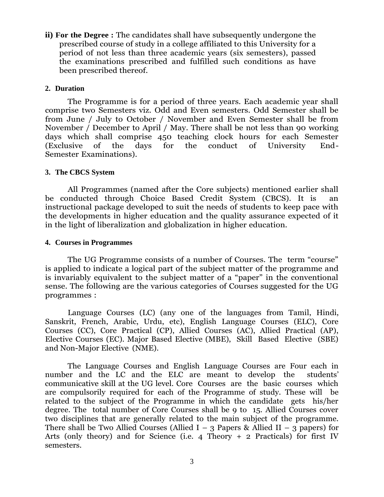**ii) For the Degree :** The candidates shall have subsequently undergone the prescribed course of study in a college affiliated to this University for a period of not less than three academic years (six semesters), passed the examinations prescribed and fulfilled such conditions as have been prescribed thereof.

#### **2. Duration**

The Programme is for a period of three years. Each academic year shall comprise two Semesters viz. Odd and Even semesters. Odd Semester shall be from June / July to October / November and Even Semester shall be from November / December to April / May. There shall be not less than 90 working days which shall comprise 450 teaching clock hours for each Semester (Exclusive of the days for the conduct of University End-Semester Examinations).

#### **3. The CBCS System**

All Programmes (named after the Core subjects) mentioned earlier shall be conducted through Choice Based Credit System (CBCS). It is an instructional package developed to suit the needs of students to keep pace with the developments in higher education and the quality assurance expected of it in the light of liberalization and globalization in higher education.

#### **4. Courses in Programmes**

The UG Programme consists of a number of Courses. The term "course" is applied to indicate a logical part of the subject matter of the programme and is invariably equivalent to the subject matter of a "paper" in the conventional sense. The following are the various categories of Courses suggested for the UG programmes :

Language Courses (LC) (any one of the languages from Tamil, Hindi, Sanskrit, French, Arabic, Urdu, etc), English Language Courses (ELC), Core Courses (CC), Core Practical (CP), Allied Courses (AC), Allied Practical (AP), Elective Courses (EC). Major Based Elective (MBE), Skill Based Elective (SBE) and Non-Major Elective (NME).

The Language Courses and English Language Courses are Four each in number and the LC and the ELC are meant to develop the students' communicative skill at the UG level. Core Courses are the basic courses which are compulsorily required for each of the Programme of study. These will be related to the subject of the Programme in which the candidate gets his/her degree. The total number of Core Courses shall be 9 to 15. Allied Courses cover two disciplines that are generally related to the main subject of the programme. There shall be Two Allied Courses (Allied I – 3 Papers & Allied II – 3 papers) for Arts (only theory) and for Science (i.e. 4 Theory  $+$  2 Practicals) for first IV semesters.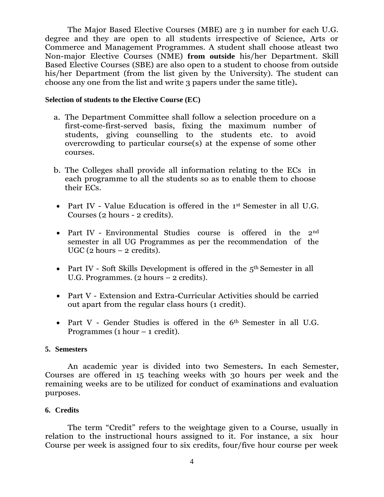The Major Based Elective Courses (MBE) are 3 in number for each U.G. degree and they are open to all students irrespective of Science, Arts or Commerce and Management Programmes. A student shall choose atleast two Non-major Elective Courses (NME) **from outside** his/her Department. Skill Based Elective Courses (SBE) are also open to a student to choose from outside his/her Department (from the list given by the University). The student can choose any one from the list and write 3 papers under the same title)**.**

#### **Selection of students to the Elective Course (EC)**

- a. The Department Committee shall follow a selection procedure on a first-come-first-served basis, fixing the maximum number of students, giving counselling to the students etc. to avoid overcrowding to particular course(s) at the expense of some other courses.
- b. The Colleges shall provide all information relating to the ECs in each programme to all the students so as to enable them to choose their ECs.
- Part IV Value Education is offered in the 1<sup>st</sup> Semester in all U.G. Courses (2 hours - 2 credits).
- Part IV Environmental Studies course is offered in the 2<sup>nd</sup> semester in all UG Programmes as per the recommendation of the UGC ( $2$  hours  $-2$  credits).
- Part IV Soft Skills Development is offered in the 5<sup>th</sup> Semester in all U.G. Programmes. (2 hours – 2 credits).
- Part V Extension and Extra-Curricular Activities should be carried out apart from the regular class hours (1 credit).
- Part V Gender Studies is offered in the 6<sup>th</sup> Semester in all U.G. Programmes (1 hour  $-1$  credit).

#### **5. Semesters**

An academic year is divided into two Semesters**.** In each Semester, Courses are offered in 15 teaching weeks with 30 hours per week and the remaining weeks are to be utilized for conduct of examinations and evaluation purposes.

#### **6. Credits**

The term "Credit" refers to the weightage given to a Course, usually in relation to the instructional hours assigned to it. For instance, a six hour Course per week is assigned four to six credits, four/five hour course per week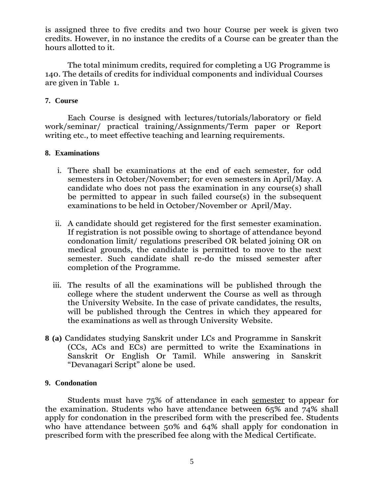is assigned three to five credits and two hour Course per week is given two credits. However, in no instance the credits of a Course can be greater than the hours allotted to it.

The total minimum credits, required for completing a UG Programme is 140. The details of credits for individual components and individual Courses are given in Table 1.

### **7. Course**

Each Course is designed with lectures/tutorials/laboratory or field work/seminar/ practical training/Assignments/Term paper or Report writing etc., to meet effective teaching and learning requirements.

### **8. Examinations**

- i. There shall be examinations at the end of each semester, for odd semesters in October/November; for even semesters in April/May. A candidate who does not pass the examination in any course(s) shall be permitted to appear in such failed course(s) in the subsequent examinations to be held in October/November or April/May.
- ii. A candidate should get registered for the first semester examination. If registration is not possible owing to shortage of attendance beyond condonation limit/ regulations prescribed OR belated joining OR on medical grounds, the candidate is permitted to move to the next semester. Such candidate shall re-do the missed semester after completion of the Programme.
- iii. The results of all the examinations will be published through the college where the student underwent the Course as well as through the University Website. In the case of private candidates, the results, will be published through the Centres in which they appeared for the examinations as well as through University Website.
- **8 (a)** Candidates studying Sanskrit under LCs and Programme in Sanskrit (CCs, ACs and ECs) are permitted to write the Examinations in Sanskrit Or English Or Tamil. While answering in Sanskrit "Devanagari Script" alone be used.

### **9. Condonation**

Students must have 75% of attendance in each semester to appear for the examination. Students who have attendance between 65% and 74% shall apply for condonation in the prescribed form with the prescribed fee. Students who have attendance between 50% and 64% shall apply for condonation in prescribed form with the prescribed fee along with the Medical Certificate.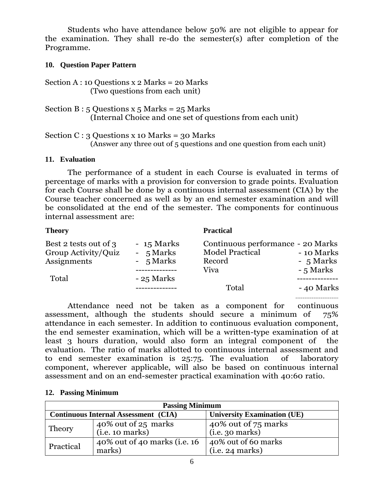Students who have attendance below 50% are not eligible to appear for the examination. They shall re-do the semester(s) after completion of the Programme.

### **10. Question Paper Pattern**

Section A : 10 Questions  $x$  2 Marks = 20 Marks (Two questions from each unit)

Section B :  $5$  Questions x  $5$  Marks = 25 Marks (Internal Choice and one set of questions from each unit)

Section C : 3 Questions x 10 Marks = 30 Marks (Answer any three out of 5 questions and one question from each unit)

### **11. Evaluation**

The performance of a student in each Course is evaluated in terms of percentage of marks with a provision for conversion to grade points. Evaluation for each Course shall be done by a continuous internal assessment (CIA) by the Course teacher concerned as well as by an end semester examination and will be consolidated at the end of the semester. The components for continuous internal assessment are:

| <b>Theory</b>                                                        |                                                      | <b>Practical</b>                                                              |                                      |
|----------------------------------------------------------------------|------------------------------------------------------|-------------------------------------------------------------------------------|--------------------------------------|
| Best 2 tests out of 3<br>Group Activity/Quiz<br>Assignments<br>Total | $-15$ Marks<br>- 5 Marks<br>- 5 Marks<br>$-25$ Marks | Continuous performance - 20 Marks<br><b>Model Practical</b><br>Record<br>Viva | - 10 Marks<br>- 5 Marks<br>- 5 Marks |
|                                                                      |                                                      | Total                                                                         | - 40 Marks                           |

------------------------

Attendance need not be taken as a component for continuous assessment, although the students should secure a minimum of 75% attendance in each semester. In addition to continuous evaluation component, the end semester examination, which will be a written-type examination of at least 3 hours duration, would also form an integral component of the evaluation. The ratio of marks allotted to continuous internal assessment and to end semester examination is 25:75. The evaluation of laboratory component, wherever applicable, will also be based on continuous internal assessment and on an end-semester practical examination with 40:60 ratio.

#### **12. Passing Minimum**

| <b>Passing Minimum</b> |                                             |                                        |  |
|------------------------|---------------------------------------------|----------------------------------------|--|
|                        | <b>Continuous Internal Assessment (CIA)</b> | <b>University Examination (UE)</b>     |  |
| Theory                 | 40% out of 25 marks<br>(i.e. 10 marks)      | 40% out of 75 marks<br>(i.e. 30 marks) |  |
| Practical              | 40% out of 40 marks (i.e. 16<br>marks)      | 40% out of 60 marks<br>(i.e. 24 marks) |  |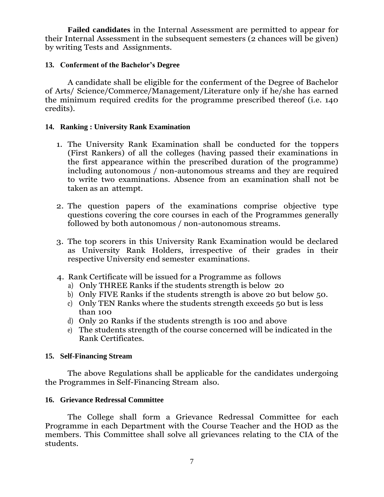**Failed candidates** in the Internal Assessment are permitted to appear for their Internal Assessment in the subsequent semesters (2 chances will be given) by writing Tests and Assignments.

### **13. Conferment of the Bachelor's Degree**

A candidate shall be eligible for the conferment of the Degree of Bachelor of Arts/ Science/Commerce/Management/Literature only if he/she has earned the minimum required credits for the programme prescribed thereof (i.e. 140 credits).

### **14. Ranking : University Rank Examination**

- 1. The University Rank Examination shall be conducted for the toppers (First Rankers) of all the colleges (having passed their examinations in the first appearance within the prescribed duration of the programme) including autonomous / non-autonomous streams and they are required to write two examinations. Absence from an examination shall not be taken as an attempt.
- 2. The question papers of the examinations comprise objective type questions covering the core courses in each of the Programmes generally followed by both autonomous / non-autonomous streams.
- 3. The top scorers in this University Rank Examination would be declared as University Rank Holders, irrespective of their grades in their respective University end semester examinations.
- 4. Rank Certificate will be issued for a Programme as follows
	- a) Only THREE Ranks if the students strength is below 20
	- b) Only FIVE Ranks if the students strength is above 20 but below 50.
	- c) Only TEN Ranks where the students strength exceeds 50 but is less than 100
	- d) Only 20 Ranks if the students strength is 100 and above
	- e) The students strength of the course concerned will be indicated in the Rank Certificates.

### **15. Self-Financing Stream**

The above Regulations shall be applicable for the candidates undergoing the Programmes in Self-Financing Stream also.

### **16. Grievance Redressal Committee**

The College shall form a Grievance Redressal Committee for each Programme in each Department with the Course Teacher and the HOD as the members. This Committee shall solve all grievances relating to the CIA of the students.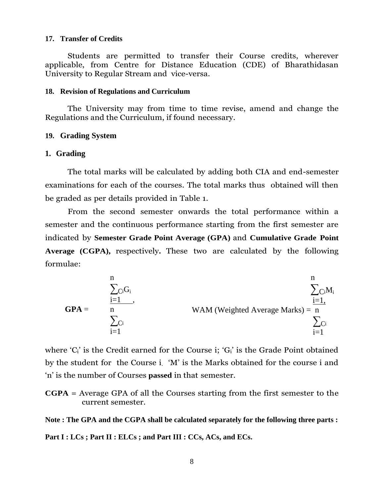#### **17. Transfer of Credits**

Students are permitted to transfer their Course credits, wherever applicable, from Centre for Distance Education (CDE) of Bharathidasan University to Regular Stream and vice-versa.

#### **18. Revision of Regulations and Curriculum**

The University may from time to time revise, amend and change the Regulations and the Curriculum, if found necessary.

### **19. Grading System**

#### **1. Grading**

The total marks will be calculated by adding both CIA and end-semester examinations for each of the courses. The total marks thus obtained will then be graded as per details provided in Table 1.

From the second semester onwards the total performance within a semester and the continuous performance starting from the first semester are indicated by **Semester Grade Point Average (GPA)** and **Cumulative Grade Point Average (CGPA),** respectively**.** These two are calculated by the following formulae:

$$
GPA = \sum_{\substack{i=1 \ \sum_{C_i} C_i \\ i=1}}^{n} WAM \text{ (Weighted Average Marks)} = \frac{\sum_{i=1}^{n} C_i M_i}{\sum_{i=1}^{n} C_i}
$$

where  $'C_i$  is the Credit earned for the Course i;  $'G_i$  is the Grade Point obtained by the student for the Course i. "M" is the Marks obtained for the course i and "n" is the number of Courses **passed** in that semester.

**CGPA** = Average GPA of all the Courses starting from the first semester to the current semester.

**Note : The GPA and the CGPA shall be calculated separately for the following three parts :**

**Part I : LCs ; Part II : ELCs ; and Part III : CCs, ACs, and ECs.**